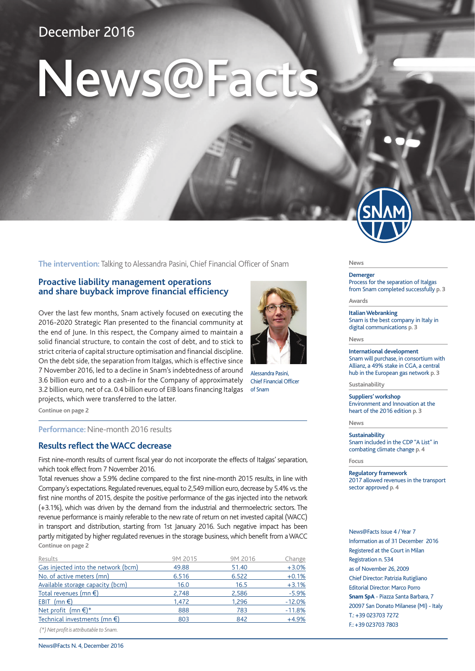# December 2016

# News@Facts

**The intervention:** Talking to Alessandra Pasini, Chief Financial Officer of Snam

# **Proactive liability management operations and share buyback improve financial efficiency**

Over the last few months, Snam actively focused on executing the 2016-2020 Strategic Plan presented to the financial community at the end of June. In this respect, the Company aimed to maintain a solid financial structure, to contain the cost of debt, and to stick to strict criteria of capital structure optimisation and financial discipline. On the debt side, the separation from Italgas, which is effective since 7 November 2016, led to a decline in Snam's indebtedness of around 3.6 billion euro and to a cash-in for the Company of approximately 3.2 billion euro, net of ca. 0.4 billion euro of EIB loans financing Italgas projects, which were transferred to the latter.

**Continue on page 2**

**Performance:** Nine-month 2016 results

#### **Results reflect the WACC decrease**

First nine-month results of current fiscal year do not incorporate the effects of Italgas' separation, which took effect from 7 November 2016.

Total revenues show a 5.9% decline compared to the first nine-month 2015 results, in line with Company's expectations. Regulated revenues, equal to 2,549 million euro, decrease by 5.4% vs. the first nine months of 2015, despite the positive performance of the gas injected into the network (+3.1%), which was driven by the demand from the industrial and thermoelectric sectors. The revenue performance is mainly referable to the new rate of return on net invested capital (WACC) in transport and distribution, starting from 1st January 2016. Such negative impact has been partly mitigated by higher regulated revenues in the storage business, which benefit from a WACC **Continue on page 2**

| Results                                | 9M 2015 | 9M 2016 | Change   |
|----------------------------------------|---------|---------|----------|
| Gas injected into the network (bcm)    | 49.88   | 51.40   | $+3.0%$  |
| No. of active meters (mn)              | 6.516   | 6.522   | $+0.1%$  |
| Available storage capacity (bcm)       | 16.0    | 16.5    | $+3.1%$  |
| Total revenues (mn €)                  | 2,748   | 2,586   | $-5.9%$  |
| EBIT (mn $\epsilon$ )                  | 1,472   | 1,296   | $-12.0%$ |
| Net profit $(mn \in)$ *                | 888     | 783     | $-11.8%$ |
| Technical investments (mn $\epsilon$ ) | 803     | 842     | $+4.9%$  |
|                                        |         |         |          |

 *(\*) Net profit is attributable to Snam.*



Alessandra Pasini, Chief Financial Officer of Snam

**News** 

**Demerger**  Process for the separation of Italgas from Snam completed successfully **p. 3**

**Awards** 

**Italian Webranking**  Snam is the best company in Italy in digital communications **p. 3**

**News** 

**International development**  Snam will purchase, in consortium with Allianz, a 49% stake in CGA, a central hub in the European gas network **p. 3**

**Sustainability** 

**Suppliers' workshop**  Environment and Innovation at the heart of the 2016 edition **p. 3**

**News** 

**Sustainability**  Snam included in the CDP "A List" in combating climate change **p. 4**

**Focus** 

**Regulatory framework**  2017 allowed revenues in the transport sector approved **p. 4**

News@Facts Issue 4 / Year 7 Information as of 31 December 2016 Registered at the Court in Milan Registration n. 534 as of November 26, 2009 Chief Director: Patrizia Rutigliano Editorial Director: Marco Porro **Snam SpA** - Piazza Santa Barbara, 7 20097 San Donato Milanese (MI) - Italy T.: +39 023703 7272 F.: +39 023703 7803

News@Facts N. 4, December 2016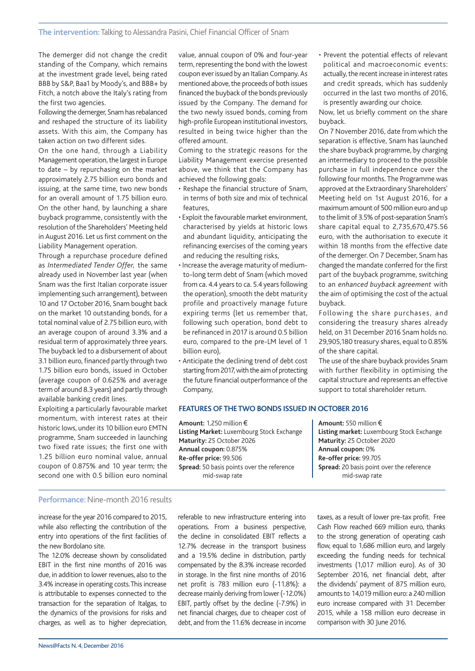The demerger did not change the credit standing of the Company, which remains at the investment grade level, being rated BBB by S&P, Baa1 by Moody's, and BBB+ by Fitch, a notch above the Italy's rating from the first two agencies.

Following the demerger, Snam has rebalanced and reshaped the structure of its liability assets. With this aim, the Company has taken action on two different sides.

On the one hand, through a Liability Management operation, the largest in Europe to date – by repurchasing on the market approximately 2.75 billion euro bonds and issuing, at the same time, two new bonds for an overall amount of 1.75 billion euro. On the other hand, by launching a share buyback programme, consistently with the resolution of the Shareholders' Meeting held in August 2016. Let us first comment on the Liability Management operation.

Through a repurchase procedure defined as *Intermediated Tender Offer,* the same already used in November last year (when Snam was the first Italian corporate issuer implementing such arrangement), between 10 and 17 October 2016, Snam bought back on the market 10 outstanding bonds, for a total nominal value of 2.75 billion euro, with an average coupon of around 3.3% and a residual term of approximately three years. The buyback led to a disbursement of about 3.1 billion euro, financed partly through two 1.75 billion euro bonds, issued in October (average coupon of 0.625% and average term of around 8.3 years) and partly through available banking credit lines.

Exploiting a particularly favourable market momentum, with interest rates at their historic lows, under its 10 billion euro EMTN programme, Snam succeeded in launching two fixed rate issues; the first one with 1.25 billion euro nominal value, annual coupon of 0.875% and 10 year term; the second one with 0.5 billion euro nominal

value, annual coupon of 0% and four-year term, representing the bond with the lowest coupon ever issued by an Italian Company. As mentioned above, the proceeds of both issues financed the buyback of the bonds previously issued by the Company. The demand for the two newly issued bonds, coming from high-profile European institutional investors, resulted in being twice higher than the offered amount.

Coming to the strategic reasons for the Liability Management exercise presented above, we think that the Company has achieved the following goals:

- Reshape the financial structure of Snam, in terms of both size and mix of technical features,
- Exploit the favourable market environment, characterised by yields at historic lows and abundant liquidity, anticipating the refinancing exercises of the coming years and reducing the resulting risks,
- Increase the average maturity of mediumto-long term debt of Snam (which moved from ca. 4.4 years to ca. 5.4 years following the operation), smooth the debt maturity profile and proactively manage future expiring terms (let us remember that, following such operation, bond debt to be refinanced in 2017 is around 0.5 billion euro, compared to the pre-LM level of 1 billion euro),
- Anticipate the declining trend of debt cost starting from 2017, with the aim of protecting the future financial outperformance of the Company,

#### **FEATURES OF THE TWO BONDS ISSUED IN OCTOBER 2016**

**Amount:** 1,250 million € **Listing Market:** Luxembourg Stock Exchange **Maturity:** 25 October 2026 **Annual coupon:** 0.875% **Re-offer price:** 99.506 **Spread:** 50 basis points over the reference mid-swap rate

**Amount:** 550 million € **Listing market:** Luxembourg Stock Exchange **Maturity:** 25 October 2020 **Annual coupon:** 0% **Re-offer price:** 99.705 **Spread:** 20 basis point over the reference mid-swap rate

#### **Performance:** Nine-month 2016 results

increase for the year 2016 compared to 2015, while also reflecting the contribution of the entry into operations of the first facilities of the new Bordolano site.

The 12.0% decrease shown by consolidated EBIT in the first nine months of 2016 was due, in addition to lower revenues, also to the 3.4% increase in operating costs. This increase is attributable to expenses connected to the transaction for the separation of Italgas, to the dynamics of the provisions for risks and charges, as well as to higher depreciation, referable to new infrastructure entering into operations. From a business perspective, the decline in consolidated EBIT reflects a 12.7% decrease in the transport business and a 19.5% decline in distribution, partly compensated by the 8.3% increase recorded in storage. In the first nine months of 2016 net profit is 783 million euro (-11.8%): a decrease mainly deriving from lower (-12.0%) EBIT, partly offset by the decline (-7.9%) in net financial charges, due to cheaper cost of debt, and from the 11.6% decrease in income taxes, as a result of lower pre-tax profit. Free Cash Flow reached 669 million euro, thanks to the strong generation of operating cash flow, equal to 1,686 million euro, and largely exceeding the funding needs for technical investments (1,017 million euro). As of 30 September 2016, net financial debt, after the dividends' payment of 875 million euro, amounts to 14,019 million euro: a 240 million euro increase compared with 31 December 2015, while a 158 million euro decrease in comparison with 30 June 2016.

is presently awarding our choice. Now, let us briefly comment on the share buyback. On 7 November 2016, date from which the separation is effective, Snam has launched the share buyback programme, by charging an intermediary to proceed to the possible purchase in full independence over the following four months. The Programme was approved at the Extraordinary Shareholders' Meeting held on 1st August 2016, for a maximum amount of 500 million euro and up to the limit of 3.5% of post-separation Snam's share capital equal to 2,735,670,475.56 euro, with the authorisation to execute it within 18 months from the effective date of the demerger. On 7 December, Snam has changed the mandate conferred for the first part of the buyback programme, switching to an *enhanced buyback agreement* with the aim of optimising the cost of the actual

• Prevent the potential effects of relevant political and macroeconomic events: actually, the recent increase in interest rates and credit spreads, which has suddenly occurred in the last two months of 2016,

buyback. Following the share purchases, and considering the treasury shares already held, on 31 December 2016 Snam holds no. 29,905,180 treasury shares, equal to 0.85% of the share capital.

The use of the share buyback provides Snam with further flexibility in optimising the capital structure and represents an effective support to total shareholder return.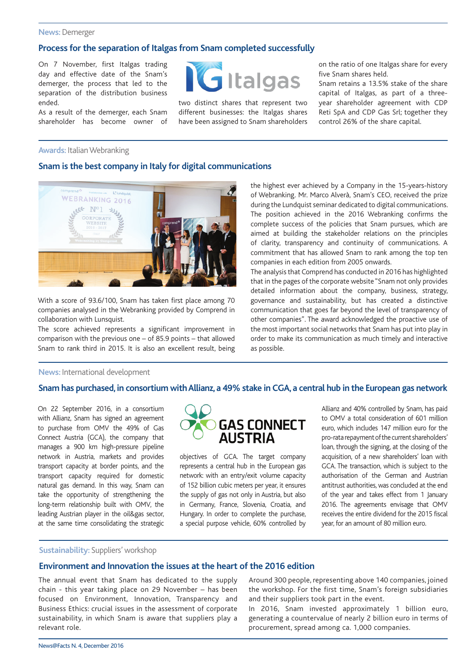#### **News:** Demerger

# **Process for the separation of Italgas from Snam completed successfully**

On 7 November, first Italgas trading day and effective date of the Snam's demerger, the process that led to the separation of the distribution business ended.

As a result of the demerger, each Snam shareholder has become owner of



two distinct shares that represent two different businesses: the Italgas shares have been assigned to Snam shareholders on the ratio of one Italgas share for every five Snam shares held.

Snam retains a 13.5% stake of the share capital of Italgas, as part of a threeyear shareholder agreement with CDP Reti SpA and CDP Gas Srl; together they control 26% of the share capital.

#### **Awards:** Italian Webranking

#### **Snam is the best company in Italy for digital communications**



With a score of 93.6/100, Snam has taken first place among 70 companies analysed in the Webranking provided by Comprend in collaboration with Lunsquist.

The score achieved represents a significant improvement in comparison with the previous one – of 85.9 points – that allowed Snam to rank third in 2015. It is also an excellent result, being the highest ever achieved by a Company in the 15-years-history of Webranking. Mr. Marco Alverà, Snam's CEO, received the prize during the Lundquist seminar dedicated to digital communications. The position achieved in the 2016 Webranking confirms the complete success of the policies that Snam pursues, which are aimed at building the stakeholder relations on the principles of clarity, transparency and continuity of communications. A commitment that has allowed Snam to rank among the top ten companies in each edition from 2005 onwards.

The analysis that Comprend has conducted in 2016 has highlighted that in the pages of the corporate website "Snam not only provides detailed information about the company, business, strategy, governance and sustainability, but has created a distinctive communication that goes far beyond the level of transparency of other companies". The award acknowledged the proactive use of the most important social networks that Snam has put into play in order to make its communication as much timely and interactive as possible.

#### **News:** International development

#### **Snam has purchased, in consortium with Allianz, a 49% stake in CGA, a central hub in the European gas network**

On 22 September 2016, in a consortium with Allianz, Snam has signed an agreement to purchase from OMV the 49% of Gas Connect Austria (GCA), the company that manages a 900 km high-pressure pipeline network in Austria, markets and provides transport capacity at border points, and the transport capacity required for domestic natural gas demand. In this way, Snam can take the opportunity of strengthening the long-term relationship built with OMV, the leading Austrian player in the oil&gas sector, at the same time consolidating the strategic



objectives of GCA. The target company represents a central hub in the European gas network: with an entry/exit volume capacity of 152 billion cubic meters per year, it ensures the supply of gas not only in Austria, but also in Germany, France, Slovenia, Croatia, and Hungary. In order to complete the purchase, a special purpose vehicle, 60% controlled by Allianz and 40% controlled by Snam, has paid to OMV a total consideration of 601 million euro, which includes 147 million euro for the pro-rata repayment of the current shareholders' loan, through the signing, at the closing of the acquisition, of a new shareholders' loan with GCA. The transaction, which is subject to the authorisation of the German and Austrian antitrust authorities, was concluded at the end of the year and takes effect from 1 January 2016. The agreements envisage that OMV receives the entire dividend for the 2015 fiscal year, for an amount of 80 million euro.

#### **Sustainability:** Suppliers' workshop

#### **Environment and Innovation the issues at the heart of the 2016 edition**

The annual event that Snam has dedicated to the supply chain - this year taking place on 29 November – has been focused on Environment, Innovation, Transparency and Business Ethics: crucial issues in the assessment of corporate sustainability, in which Snam is aware that suppliers play a relevant role.

Around 300 people, representing above 140 companies, joined the workshop. For the first time, Snam's foreign subsidiaries and their suppliers took part in the event.

In 2016, Snam invested approximately 1 billion euro, generating a countervalue of nearly 2 billion euro in terms of procurement, spread among ca. 1,000 companies.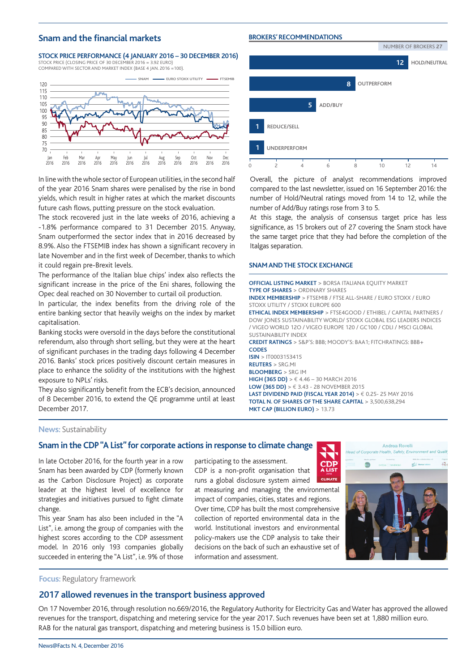#### **Snam and the financial markets**

#### **BROKERS' RECOMMENDATIONS**

**Stock price performance (4 JANUARY 2016 – 30 december 2016)**

STOCK PRICE (CLOSING PRICE OF 30 december 2016 = 3.92 EURO) COMPARED WITH SECTOR AND MARKET INDEX (BASE 4 JAN. 2016 =100).



In line with the whole sector of European utilities, in the second half of the year 2016 Snam shares were penalised by the rise in bond yields, which result in higher rates at which the market discounts future cash flows, putting pressure on the stock evaluation.

The stock recovered just in the late weeks of 2016, achieving a -1.8% performance compared to 31 December 2015. Anyway, Snam outperformed the sector index that in 2016 decreased by 8.9%. Also the FTSEMIB index has shown a significant recovery in late November and in the first week of December, thanks to which it could regain pre-Brexit levels.

The performance of the Italian blue chips' index also reflects the significant increase in the price of the Eni shares, following the Opec deal reached on 30 November to curtail oil production.

In particular, the index benefits from the driving role of the entire banking sector that heavily weighs on the index by market capitalisation.

Banking stocks were oversold in the days before the constitutional referendum, also through short selling, but they were at the heart of significant purchases in the trading days following 4 December 2016. Banks' stock prices positively discount certain measures in place to enhance the solidity of the institutions with the highest exposure to NPLs' risks.

They also significantly benefit from the ECB's decision, announced of 8 December 2016, to extend the QE programme until at least December 2017.



Overall, the picture of analyst recommendations improved compared to the last newsletter, issued on 16 September 2016: the number of Hold/Neutral ratings moved from 14 to 12, while the number of Add/Buy ratings rose from 3 to 5.

At this stage, the analysis of consensus target price has less significance, as 15 brokers out of 27 covering the Snam stock have the same target price that they had before the completion of the Italgas separation.

#### **SNAM AND THE STOCK EXCHANGE**

**OFFICIAL LISTING MARKET** > BORSA ITALIANA EQUITY MARKET **TYPE OF SHARES** > ORDINARY SHARES **INDEX MEMBERSHIP** > FTSEMIB / FTSE ALL-SHARE / EURO STOXX / EURO STOXX LITILITY / STOXX ELIROPE 600 **ETHICAL INDEX MEMBERSHIP** > FTSE4GOOD / ETHIBEL / CAPITAL PARTNERS / DOW JONES SUSTAINABILITY WORLD/ STOXX GLOBAL ESG LEADERS INDICES / VIGEO WORLD 12O / VIGEO EUROPE 120 / GC100 / CDLI / MSCI GLOBAL SUSTAINABILITY INDEX **CREDIT RATINGS** > S&P'S: BBB; MOODY'S: BAA1; FITCHRATINGS: BBB+ **CODES ISIN** > IT0003153415 **REUTERS** > SRG.MI **BLOOMBERG** > SRG IM **HIGH (365 DD)** > € 4.46 – 30 MARCH 2016 **LOW (365 DD)** > € 3.43 - 28 november 2015 **LAST DIVIDEND PAID (FISCAL YEAR 2014)** > € 0.25- 25 MAY 2016 **TOTAL N. OF SHARES OF THE SHARE CAPITAL** > 3,500,638,294 **MKT CAP (BILLION EURO)** > 13.73

**CDP** 

**CLIMATE** 

**News:** Sustainability

#### **Snam in the CDP "A List" for corporate actions in response to climate change**

In late October 2016, for the fourth year in a row Snam has been awarded by CDP (formerly known as the Carbon Disclosure Project) as corporate leader at the highest level of excellence for strategies and initiatives pursued to fight climate change.

This year Snam has also been included in the "A List", i.e. among the group of companies with the highest scores according to the CDP assessment model. In 2016 only 193 companies globally succeeded in entering the "A List", i.e. 9% of those

participating to the assessment. CDP is a non-profit organisation that

runs a global disclosure system aimed at measuring and managing the environmental

impact of companies, cities, states and regions. Over time, CDP has built the most comprehensive collection of reported environmental data in the world. Institutional investors and environmental policy-makers use the CDP analysis to take their decisions on the back of such an exhaustive set of information and assessment.



**Focus:** Regulatory framework

#### **2017 allowed revenues in the transport business approved**

On 17 November 2016, through resolution no.669/2016, the Regulatory Authority for Electricity Gas and Water has approved the allowed revenues for the transport, dispatching and metering service for the year 2017. Such revenues have been set at 1,880 million euro. RAB for the natural gas transport, dispatching and metering business is 15.0 billion euro.